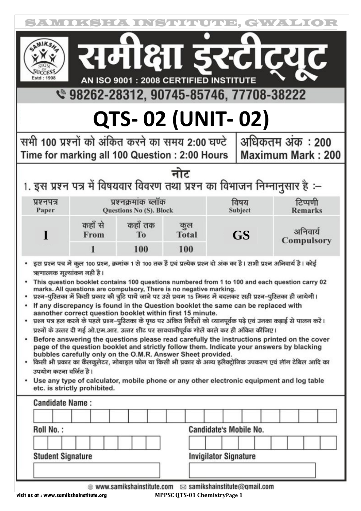|                                                                                                                                                                                                                                                                                                                                                                                                                                                                                                                                                                                                                                                                                                                                                                                                                                                                                                                                                                                                                                                                                                                                                                                                                                                                                                                                                               |                 |                                                |                     |                                                                                                                                                   | NUNUE, GWADOR                                                              |
|---------------------------------------------------------------------------------------------------------------------------------------------------------------------------------------------------------------------------------------------------------------------------------------------------------------------------------------------------------------------------------------------------------------------------------------------------------------------------------------------------------------------------------------------------------------------------------------------------------------------------------------------------------------------------------------------------------------------------------------------------------------------------------------------------------------------------------------------------------------------------------------------------------------------------------------------------------------------------------------------------------------------------------------------------------------------------------------------------------------------------------------------------------------------------------------------------------------------------------------------------------------------------------------------------------------------------------------------------------------|-----------------|------------------------------------------------|---------------------|---------------------------------------------------------------------------------------------------------------------------------------------------|----------------------------------------------------------------------------|
| समंक्षा इस्टाट्युट<br>AN ISO 9001 : 2008 CERTIFIED INSTITUTE<br>९ 98262-28312, 90745-85746, 77708-38222                                                                                                                                                                                                                                                                                                                                                                                                                                                                                                                                                                                                                                                                                                                                                                                                                                                                                                                                                                                                                                                                                                                                                                                                                                                       |                 |                                                |                     |                                                                                                                                                   |                                                                            |
|                                                                                                                                                                                                                                                                                                                                                                                                                                                                                                                                                                                                                                                                                                                                                                                                                                                                                                                                                                                                                                                                                                                                                                                                                                                                                                                                                               |                 |                                                |                     | QTS-02 (UNIT-02)                                                                                                                                  |                                                                            |
| सभी 100 प्रश्नों को अंकित करने का समय 2:00 घण्टे<br>Time for marking all 100 Question : 2:00 Hours                                                                                                                                                                                                                                                                                                                                                                                                                                                                                                                                                                                                                                                                                                                                                                                                                                                                                                                                                                                                                                                                                                                                                                                                                                                            |                 |                                                |                     |                                                                                                                                                   | अधिकतम अंक : 200<br><b>Maximum Mark: 200</b>                               |
|                                                                                                                                                                                                                                                                                                                                                                                                                                                                                                                                                                                                                                                                                                                                                                                                                                                                                                                                                                                                                                                                                                                                                                                                                                                                                                                                                               |                 |                                                | नोट                 |                                                                                                                                                   | 1. इस प्रश्न पत्र में विषयवार विवरण तथा प्रश्न का विभाजन निम्नानुसार है :– |
| प्रश्नपत्र<br>Paper                                                                                                                                                                                                                                                                                                                                                                                                                                                                                                                                                                                                                                                                                                                                                                                                                                                                                                                                                                                                                                                                                                                                                                                                                                                                                                                                           |                 | प्रश्नक्रमांक ब्लॉक<br>Questions No (S). Block |                     | विषय<br>Subject                                                                                                                                   | टिप्पणी<br><b>Remarks</b>                                                  |
| T                                                                                                                                                                                                                                                                                                                                                                                                                                                                                                                                                                                                                                                                                                                                                                                                                                                                                                                                                                                                                                                                                                                                                                                                                                                                                                                                                             | कहाँ से<br>From | कहाँ तक<br><b>To</b>                           | कुल<br><b>Total</b> | <b>GS</b>                                                                                                                                         | अनिवार्य<br>Compulsory                                                     |
|                                                                                                                                                                                                                                                                                                                                                                                                                                                                                                                                                                                                                                                                                                                                                                                                                                                                                                                                                                                                                                                                                                                                                                                                                                                                                                                                                               |                 | 100                                            | 100                 |                                                                                                                                                   |                                                                            |
| इस प्रश्न पत्र में कुल 100 प्रश्न, क्रमांक 1 से 100 तक हैं एवं प्रत्येक प्रश्न दो अंक का है। सभी प्रश्न अनिवार्य है। कोई<br>ऋणात्मक मूल्यांकन नही है।<br>This question booklet contains 100 questions numbered from 1 to 100 and each question carry 02<br>marks. All questions are compulsory, There is no negative marking.<br>प्रश्न-पुस्तिका में किसी प्रकार की त्रुटि पायें जाने पर उसे प्रथम 15 मिनट में बदलकर सही प्रश्न-पुस्तिका ही जायेगी।<br>If any discrepancy is found in the Question booklet the same can be replaced with<br>aanother correct question booklet within first 15 minute.<br>प्रश्न पत्र हल करने के पहले प्रश्न-पुरितका के पृष्ठ पर अंकित निर्देशों को ध्यानपूर्वक पढ़े एवं उनका कड़ाई से पालन करें।<br>٠<br>प्रश्नों के उत्तर दी गई ओ.एम.आर. उत्तर शीट पर सावधानीपूर्वक गोलें काले कर ही अंकित कीजिए।<br>Before answering the questions please read carefully the instructions printed on the cover<br>page of the question booklet and strictly follow them. Indicate your answers by blacking<br>bubbles carefully only on the O.M.R. Answer Sheet provided.<br>किसी भी प्रकार का कैलकुलेटर, मोबाइल फोन या किसी भी प्रकार के अन्य इलैक्ट्रोनिक उपकरण एवं लॉग टेबिल आदि का<br>उपयोग करना वर्जित है।<br>Use any type of calculator, mobile phone or any other electronic equipment and log table<br>etc. is strictly prohibited. |                 |                                                |                     |                                                                                                                                                   |                                                                            |
| <b>Candidate Name:</b><br>Roll No.:                                                                                                                                                                                                                                                                                                                                                                                                                                                                                                                                                                                                                                                                                                                                                                                                                                                                                                                                                                                                                                                                                                                                                                                                                                                                                                                           |                 |                                                |                     | <b>Candidate's Mobile No.</b>                                                                                                                     |                                                                            |
| <b>Student Signature</b>                                                                                                                                                                                                                                                                                                                                                                                                                                                                                                                                                                                                                                                                                                                                                                                                                                                                                                                                                                                                                                                                                                                                                                                                                                                                                                                                      |                 |                                                |                     | <b>Invigilator Signature</b>                                                                                                                      |                                                                            |
|                                                                                                                                                                                                                                                                                                                                                                                                                                                                                                                                                                                                                                                                                                                                                                                                                                                                                                                                                                                                                                                                                                                                                                                                                                                                                                                                                               |                 |                                                |                     | $\textcircled{\tiny{\textcircled{\tiny{w}}}}$ www.samikshainstitute.com $\textcircled{\tiny{\textcircled{\tiny{w}}}}$ samikshainstitute@qmail.com |                                                                            |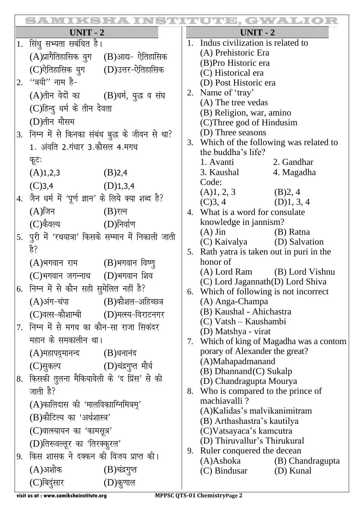|    | SOUTHER GWOOD                                       |    |                                                             |  |  |  |
|----|-----------------------------------------------------|----|-------------------------------------------------------------|--|--|--|
|    | <b>UNIT - 2</b>                                     |    | $UNIT - 2$                                                  |  |  |  |
|    | 1. सिंधु सभ्यता सबंधित है।                          | 1. | Indus civilization is related to                            |  |  |  |
|    | $(A)$ प्रागैतिहासिक युग $(B)$ आद्य- ऐतिहासिक        |    | (A) Prehistoric Era                                         |  |  |  |
|    | (C)ऐतिहासिक युग (D)उत्तर-ऐतिहासिक                   |    | (B) Pro Historic era                                        |  |  |  |
| 2. | $\lq$ ''त्रयी'' नाम है-                             |    | (C) Historical era<br>(D) Post Historic era                 |  |  |  |
|    |                                                     | 2. | Name of 'tray'                                              |  |  |  |
|    | $(A)$ तीन वेदों का $(B)$ धर्म, युद्ध व संघ          |    | (A) The tree vedas                                          |  |  |  |
|    | (C)हिन्दु धर्म के तीन देवता                         |    | (B) Religion, war, amino                                    |  |  |  |
|    | (D)तीन मौसम                                         |    | (C)Three god of Hindusim                                    |  |  |  |
|    | 3. निम्न में से किनका संबंध बुद्ध के जीवन से था?    |    | (D) Three seasons                                           |  |  |  |
|    | 1. अंवति 2.गंधार 3.कौसल 4.मगध                       | 3. | Which of the following was related to                       |  |  |  |
|    | कूटः                                                |    | the buddha's life?<br>2. Gandhar<br>1. Avanti               |  |  |  |
|    | (A)1,2,3<br>(B)2,4                                  |    | 4. Magadha<br>3. Kaushal                                    |  |  |  |
|    | (C)3,4<br>(D)1,3,4                                  |    | Code:                                                       |  |  |  |
|    | 4. जैन धर्म में 'पूर्ण ज्ञान' के लिये क्या शब्द है? |    | (A)1, 2, 3<br>(B)2, 4                                       |  |  |  |
|    |                                                     |    | $(C)3, 4$ $(D)1, 3, 4$                                      |  |  |  |
|    | $(A)$ जिन<br>$(B)$ रत्न                             |    | 4. What is a word for consulate                             |  |  |  |
|    | $(C)$ कैवल्य<br>(D)निर्वाण                          |    | knowledge in jannism?<br>$(A)$ Jin<br>(B) Ratna             |  |  |  |
|    | 5. पुरी में 'रथयात्रा' किसके सम्मान में निकाली जाती |    | (C) Kaivalya (D) Salvation                                  |  |  |  |
|    | है?                                                 | 5. | Rath yatra is taken out in puri in the                      |  |  |  |
|    | $(A)$ भगवान राम $(B)$ भगवान विष्णू                  |    | honor of                                                    |  |  |  |
|    | $(C)$ भगवान जगन्नाथ $(D)$ भगवान शिव                 |    | (A) Lord Ram (B) Lord Vishnu                                |  |  |  |
|    | 6. निम्न में से कौन सही सुमेलित नहीं है?            |    | (C) Lord Jagannath(D) Lord Shiva                            |  |  |  |
|    | $(A)$ अंग-चंपा $(B)$ कौशल-अहिच्छत्र                 | 6. | Which of following is not incorrect<br>(A) Anga-Champa      |  |  |  |
|    | (C)वत्स-कौशाम्बी (D)मत्स्य-विराटनगर                 |    | (B) Kaushal - Ahichastra                                    |  |  |  |
|    | 7. निम्न में से मगध का कौन-सा राजा सिकंदर           |    | (C) Vatsh – Kaushambi                                       |  |  |  |
|    |                                                     |    | (D) Matshya - virat                                         |  |  |  |
|    | महान के समकालीन था।                                 | 7. | Which of king of Magadha was a contom                       |  |  |  |
|    | $(A)$ महापद्मानन्द $(B)$ धनानंद                     |    | porary of Alexander the great?<br>(A)Mahapadmanand          |  |  |  |
|    | (C)सुकल्प (D)चंद्रगुप्त मौर्य                       |    | $(B)$ Dhannand $(C)$ Sukalp                                 |  |  |  |
|    | 8. किसकी तुलना मैकियावेली के 'द प्रिंस' से की       |    | (D) Chandragupta Mourya                                     |  |  |  |
|    | जाती है?                                            | 8. | Who is compared to the prince of                            |  |  |  |
|    | $(A)$ कालिदास की 'मालविकााग्निमित्रम्'              |    | machiavalli?                                                |  |  |  |
|    | (B)कौटिल्य का 'अर्थशास्त्र'                         |    | (A)Kalidas's malvikanimitram<br>(B) Arthashastra's kautilya |  |  |  |
|    | $(C)$ वात्स्यायन का 'कामसूत्र'                      |    | (C) Vatsayaca's kamcutra                                    |  |  |  |
|    | (D)तिरूवल्लूर का 'तिरक्कुरल'                        |    | (D) Thiruvallur's Thirukural                                |  |  |  |
| 9. | किस शासक ने दक्कन की विजय प्राप्त की।               | 9. | Ruler conquered the decean                                  |  |  |  |
|    |                                                     |    | (A)Ashoka<br>(B) Chandragupta                               |  |  |  |
|    | (A)अशोक<br>(B)चंद्रगुप्त                            |    | (C) Bindusar<br>(D) Kunal                                   |  |  |  |
|    | (C)बिदुंसार<br>$(D)$ कुणाल                          |    |                                                             |  |  |  |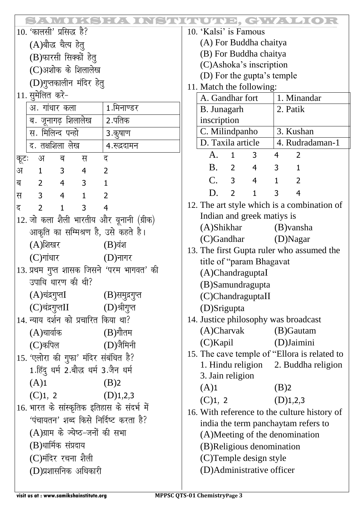|                                                                           | UIPE, GWAILOR  |                                              |                                     |                |                            |                |                                              |
|---------------------------------------------------------------------------|----------------|----------------------------------------------|-------------------------------------|----------------|----------------------------|----------------|----------------------------------------------|
| 10. 'कालसी' प्रसिद्ध है?                                                  |                |                                              | 10. 'Kalsi' is Famous               |                |                            |                |                                              |
| (A)बौद्ध चैत्य हेतु                                                       |                | (A) For Buddha chaitya                       |                                     |                |                            |                |                                              |
| (B)फारसी सिक्कों हेतु                                                     |                | (B) For Buddha chaitya                       |                                     |                |                            |                |                                              |
| (C)अशोक के शिलालेख                                                        |                |                                              |                                     |                | (C)Ashoka's inscription    |                |                                              |
| (D)गुप्तकालीन मंदिर हेतू                                                  |                |                                              |                                     |                | (D) For the gupta's temple |                |                                              |
| 11. सुमेलित करे-                                                          |                |                                              | 11. Match the following:            |                |                            |                |                                              |
| अ. गांधार कला                                                             |                |                                              | A. Gandhar fort                     |                |                            |                | 1. Minandar                                  |
|                                                                           | 1.मिनाण्डर     |                                              | B. Junagarh                         |                |                            |                | 2. Patik                                     |
| ब. जूनागढ़ शिलालेख                                                        | 2.पतिक         |                                              | inscription                         |                |                            |                |                                              |
| स. मिलिन्द पन्हो                                                          | 3.कुषाण        |                                              | C. Milindpanho<br>D. Taxila article |                |                            |                | 3. Kushan                                    |
| द. तक्षशिला लेख                                                           | 4.रुद्रदामन    |                                              |                                     |                |                            |                | 4. Rudradaman-1                              |
| 31<br>कूटः<br>ब<br>स                                                      | द              |                                              | A.                                  | $\mathbf{1}$   | 3                          | $\overline{4}$ | $\overline{2}$                               |
| $\mathcal{B}$<br>$3 \quad \blacksquare$<br>$\mathbf{1}$<br>$\overline{4}$ | $\overline{2}$ |                                              | <b>B.</b>                           | $2^{\sim}$     | 4                          | 3              | 1                                            |
| 3<br>$\overline{2}$<br>$4 \quad$<br>ब                                     | $\mathbf{1}$   |                                              | $C_{\cdot}$                         | 3 <sup>7</sup> | $\overline{4}$             | $\mathbf{1}$   | $\overline{2}$                               |
| 3<br>$\mathbf{1}$<br>स<br>$\overline{4}$                                  | 2              |                                              | D.                                  | $\overline{2}$ | 1                          | 3              | $\overline{4}$                               |
| द<br>$\overline{2}$<br>3<br>$\mathbf{1}$                                  | 4              |                                              |                                     |                |                            |                | 12. The art style which is a combination of  |
| 12. जो कला शैली भारतीय और यूनानी (ग्रीक)                                  |                | Indian and greek matiys is                   |                                     |                |                            |                |                                              |
| आकृति का सम्मिश्रण है, उसे कहते है।                                       |                | (A)Shikhar<br>(B) vansha                     |                                     |                |                            |                |                                              |
| $(A)$ शिखर                                                                | $(B)$ वंश      |                                              | (C)Gandhar                          |                |                            |                | (D)Nagar                                     |
| $(C)$ गांधार                                                              | $(D)$ नागर     |                                              |                                     |                |                            |                | 13. The first Gupta ruler who assumed the    |
| 13. प्रथम गुप्त शासक जिसने 'परम भागवत' की                                 |                | title of "param Bhagavat<br>(A)ChandraguptaI |                                     |                |                            |                |                                              |
| उपाधि धारण की थी?                                                         |                |                                              |                                     |                |                            |                |                                              |
|                                                                           |                | (B)Samundragupta                             |                                     |                |                            |                |                                              |
| (A)चंद्रगुप्तI                                                            | (B)समुद्रगुप्त |                                              |                                     |                | $(C)$ ChandraguptaII       |                |                                              |
| (C)चंद्रगुप्तII (D)श्रीगुप्त                                              |                | (D)Srigupta                                  |                                     |                |                            |                |                                              |
| 14. न्याय दर्शन को प्रचारित किया था?                                      |                | 14. Justice philosophy was broadcast         |                                     |                |                            |                |                                              |
| $(A)$ चार्वाक                                                             | $(B)$ गौतम     |                                              | (A)Charvak                          |                |                            |                | (B)Gautam                                    |
| $(C)$ कपिल $(D)$ जैमिनी                                                   |                |                                              | $(C)$ Kapil                         |                |                            |                | (D)Jaimini                                   |
| 15. 'एलोरा की गुफा' मंदिर संबंधित है?                                     |                |                                              |                                     |                |                            |                | 15. The cave temple of "Ellora is related to |
| 1.हिंदु धर्म 2.बौद्ध धर्म 3.जैन धर्म                                      |                |                                              |                                     |                |                            |                | 1. Hindu religion 2. Buddha religion         |
| (A)1                                                                      | (B)2           |                                              | 3. Jain religion                    |                |                            |                |                                              |
| $(C)$ 1, 2 $(D)$ 1,2,3                                                    |                |                                              | (A)1                                |                |                            | (B)2           |                                              |
| 16. भारत के सांस्कृतिक इतिहास के संदर्भ में                               |                |                                              | (C)1, 2                             |                |                            |                | (D)1,2,3                                     |
| 'पंचायतन' शब्द किसे निर्दिष्ट करता है?                                    |                |                                              |                                     |                |                            |                | 16. With reference to the culture history of |
|                                                                           |                |                                              |                                     |                |                            |                | india the term panchaytam refers to          |
| (A)ग्राम के ज्येष्ठ-जनों की सभा                                           |                |                                              |                                     |                |                            |                | (A)Meeting of the denomination               |
| (B)धार्मिक संप्रदाय                                                       |                |                                              |                                     |                | (B)Religious denomination  |                |                                              |
| (C)मंदिर रचना शैली                                                        |                |                                              |                                     |                | (C)Temple design style     |                |                                              |
| (D)प्रशासनिक अधिकारी                                                      |                | (D)Administrative officer                    |                                     |                |                            |                |                                              |
|                                                                           |                |                                              |                                     |                |                            |                |                                              |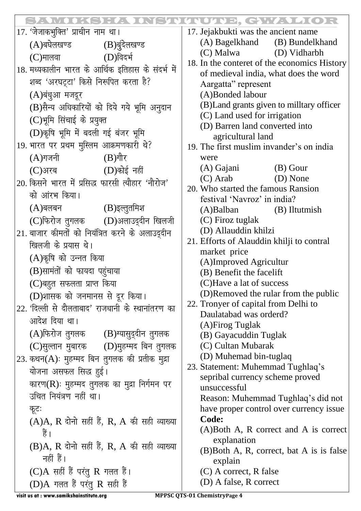|                                                    | NUINE, GWINDIN                                                               |
|----------------------------------------------------|------------------------------------------------------------------------------|
| 17. 'जेजाकभुक्ति' प्राचीन नाम था।                  | 17. Jejakbukti was the ancient name                                          |
| (A)बघेलखण्ड<br>(B)बुंदेलखण्ड                       | (A) Bagelkhand (B) Bundelkhand                                               |
| (D)विदर्भ<br>$(C)$ मालवा                           | (C) Malwa<br>(D) Vidharbh                                                    |
| 18. मध्यकालीन भारत के आर्थिक इतिहास के संदर्भ में  | 18. In the conteret of the economics History                                 |
| शब्द 'अरघट्टा' किसे निरूपित करता है?               | of medieval india, what does the word                                        |
| (A)बंधुआ मजदूर                                     | Aargatta" represent<br>(A)Bonded labour                                      |
|                                                    | (B) Land grants given to military officer                                    |
| (B)सैन्य अधिकारियों को दिये गये भूमि अनुदान        | (C) Land used for irrigation                                                 |
| (C)भूमि सिंचाई के प्रयुक्त                         | (D) Barren land converted into                                               |
| (D)कृषि भूमि में बदली गई बंजर भूमि                 | agricultural land                                                            |
| 19. भारत पर प्रथम मुस्लिम आक्रमणकारी थे?           | 19. The first muslim invander's on india                                     |
| $(B)$ गौर<br>$(A)$ गजनी                            | were                                                                         |
| (C)अरब (D)कोई नहीं                                 | (A) Gajani<br>(B) Gour                                                       |
| 20. किसने भारत में प्रसिद्ध फारसी त्यौहार 'नौरोज'  | $(C)$ Arab<br>(D) None                                                       |
| को आंरभ किया।                                      | 20. Who started the famous Ransion<br>festival 'Navroz' in india?            |
| $(A)$ बलबन $(B)$ इल्तुतमिश                         | $(A)$ Balban<br>(B) Iltutmish                                                |
| (C)फिरोज तुगलक (D)अलाउद्दीन खिलजी                  | (C) Firoz tuglak                                                             |
| 21. बाजार कीमतों को नियंत्रित करने के अलाउद्दीन    | (D) Allauddin khilzi                                                         |
| खिलजी के प्रयास थे।                                | 21. Efforts of Alauddin khilji to contral                                    |
| (A)कृषि को उन्नत किया                              | market price                                                                 |
|                                                    | (A)Improved Agricultur                                                       |
| (B)सामंतों को फायदा पहुंचाया                       | (B) Benefit the facelift                                                     |
| (C)बहुत सफलता प्राप्त किया                         | (C)Have a lat of success                                                     |
| (D)शासक को जनमानस से दूर किया।                     | (D)Removed the rular from the public<br>22. Tronyer of capital from Delhi to |
| 22. 'दिल्ली से दौलताबाद' राजधानी के स्थानांतरण का  | Daulatabad was orderd?                                                       |
| आदेश दिया था।                                      | (A)Firog Tuglak                                                              |
| $(A)$ फिरोज तुगलक $(B)$ ग्यासुद्दीन तुगलक          | (B) Gayacuddin Tuglak                                                        |
| (C)सुल्तान मुबारक (D)मुहम्मद बिन तुगलक             | (C) Cultan Mubarak                                                           |
| 23. कथन $(A)$ : मुहम्मद बिन तुगलक की प्रतीक मुद्रा | (D) Muhemad bin-tuglaq                                                       |
| योजना असफल सिद्ध हुई।                              | 23. Statement: Muhemmad Tughlaq's                                            |
| कारण(R): मुहम्मद तुगलक का मुद्रा निर्गमन पर        | sepribal currency scheme proved<br>unsuccessful                              |
| उचित नियंत्रण नहीं था।                             | Reason: Muhemmad Tughlaq's did not                                           |
| कूटः                                               | have proper control over currency issue                                      |
| $(A)$ A, R दोनो सहीं हैं, R, A की सही व्याख्या     | Code:                                                                        |
| हैं ।                                              | $(A)$ Both A, R correct and A is correct                                     |
| $(B)$ A, R दोनो सहीं हैं, R, A की सही व्याख्या     | explanation                                                                  |
| नहीं हैं।                                          | $(B)$ Both A, R, correct, bat A is is false                                  |
| (C)A सहीं हैं परंतु R गलत हैं।                     | explain<br>$(C)$ A correct, R false                                          |
| (D)A गलत हैं परंतु R सही हैं                       | (D) A false, R correct                                                       |
|                                                    |                                                                              |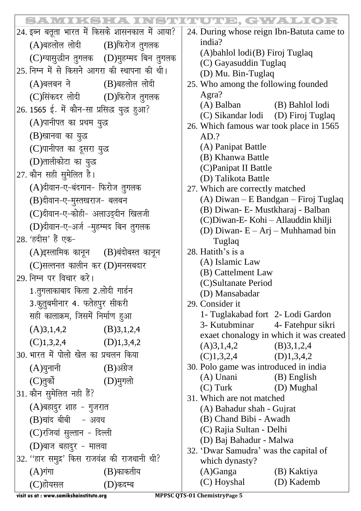|                                                | TUTUP, GWATHUR                                            |
|------------------------------------------------|-----------------------------------------------------------|
| 24. इब्न बतूता भारत में किसके शासनकाल में आया? | 24. During whose reign Ibn-Batuta came to                 |
| $(A)$ बहलोल लोदी $(B)$ फिरोज तुगलक             | india?                                                    |
| (C)ग्यासुद्धीन तुगलक (D)मुहम्मद बिन तुगलक      | (A) bahlol lodi(B) Firoj Tuglaq                           |
| 25. निम्न में से किसने आगरा की स्थापना की थी।  | (C) Gayasuddin Tuglaq                                     |
| $(A)$ बलबन ने $(B)$ बहलोल लोदी                 | (D) Mu. Bin-Tuglaq<br>25. Who among the following founded |
| (C)सिंकदर लोदी       (D)फिरोज तुगलक            | Agra?                                                     |
| 26. 1565 ई. में कौन-सा प्रसिद्ध युद्ध हुआ?     | (A) Balban (B) Bahlol lodi                                |
|                                                | (C) Sikandar lodi (D) Firoj Tuglaq                        |
| (A)पानीपत का प्रथम युद्ध                       | 26. Which famous war took place in 1565                   |
| (B)खानवा का युद्ध                              | AD.?                                                      |
| (C)पानीपत का दूसरा युद्ध                       | (A) Panipat Battle                                        |
| (D)तालीकोटा का युद्ध                           | (B) Khanwa Battle<br>(C)Panipat II Battle                 |
| $ 27$ . कौन सही सुमेलित है।                    | (D) Talikota Battle                                       |
| (A)दीवान-ए-बंदगान- फिरोज तुगलक                 | 27. Which are correctly matched                           |
| (B)दीवान-ए-मुस्तखराज- बलबन                     | (A) Diwan – E Bandgan – Firoj Tuglaq                      |
| (C)दीवान-ए-कोही- अलाउद्दीन खिलजी               | (B) Diwan- E- Mustkharaj - Balban                         |
| (D)दीवान-ए-अर्ज -मुहम्मद बिन तुगलक             | (C) Diwan-E- Kohi - Allauddin khilji                      |
| 28. 'हदीस' हैं एक-                             | (D) Diwan- $E - Arj - Muhhamad bin$                       |
|                                                | Tuglaq<br>28. Hatith's is a                               |
| $(A)$ इस्लामिक कानून $(B)$ बंदोबस्त कानून      | (A) Islamic Law                                           |
| (C)सल्तनत कालीन कर (D)मनसबदार                  | (B) Cattelment Law                                        |
| 29. निम्न पर विचार करे।                        | (C)Sultanate Period                                       |
| 1.तुगलाकाबाद किला 2.लोदी गार्डन                | (D) Mansabadar                                            |
| 3.कुतुबमीनार 4. फतेहपुर सीकरी                  | 29. Consider it                                           |
| सही कालाक्रम, जिसमें निर्माण हुआ               | 1- Tuglakabad fort 2- Lodi Gardon                         |
| $(A)3,1,4,2$ $(B)3,1,2,4$                      | 3- Kutubminar 4- Fatehpur sikri                           |
| $(C)$ 1,3,2,4 $(D)$ 1,3,4,2                    | exaet chonalogy in which it was created                   |
| 30. भारत में पोलो खेल का प्रचलन किया           | $(A)3,1,4,2$ $(B)3,1,2,4$<br>$(C)1,3,2,4$ $(D)1,3,4,2$    |
| (A)युनानी (B)अंग्रेज                           | 30. Polo game was introduced in india                     |
| $(C)$ तुर्को $(D)$ मुगलो                       | (A) Unani<br>(B) English                                  |
| 31. कौन सुमेलित नही हैं?                       | $(C)$ Turk<br>(D) Mughal                                  |
|                                                | 31. Which are not matched                                 |
| $(A)$ बहादुर शाह - गुजरात                      | (A) Bahadur shah - Gujrat                                 |
| $(B)$ चांद बीबी - अवध                          | (B) Chand Bibi - Awadh                                    |
| (C)रजियां सुल्तान - दिल्ली                     | (C) Rajia Sultan - Delhi<br>(D) Baj Bahadur - Malwa       |
| $(D)$ बाज बहादुर - मालवा                       | 32. 'Dwar Samudra' was the capital of                     |
| 32. "हार समुद्र' किस राजवंश की राजधानी थी?     | which dynasty?                                            |
| $(A)$ गंगा<br>$(B)$ काकतीय                     | $(A)$ Ganga<br>(B) Kaktiya                                |
| (C)होयसल<br>$(D)$ कदम्ब                        | (C) Hoyshal<br>(D) Kademb                                 |

 $\Gamma$ 

 $\blacksquare$  $\sim$  **The American** 

**Service Service** 

 $\sim$ 

 $\overline{\phantom{a}}$ 

**STATISTICS** 

**The Company of Company** 

÷.

 $\overline{\phantom{a}}$ ù.  $\overline{\phantom{a}}$ 

**TANK**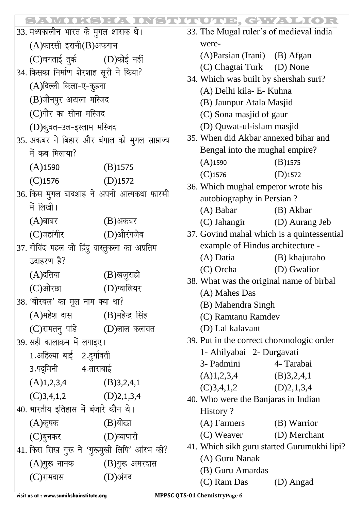|                                                  |              | UIP. GWALIOR                              |                                             |
|--------------------------------------------------|--------------|-------------------------------------------|---------------------------------------------|
| 33. मध्यकालीन भारत के मुगल शासक थे।              |              | 33. The Mugal ruler's of medieval india   |                                             |
| $(A)$ फारसी इरानी $(B)$ अफगान                    |              | were-                                     |                                             |
| (C)चगताई तुर्क (D)कोई नहीं                       |              | (A)Parsian (Irani) (B) Afgan              |                                             |
| 34. किसका निर्माण शेरशाह सूरी ने किया?           |              | (C) Chagtai Turk (D) None                 |                                             |
| (A)दिल्ली किला-ए-कुहना                           |              | 34. Which was built by shershah suri?     |                                             |
| (B)जौनपुर अटाला मस्जिद                           |              | (A) Delhi kila- E- Kuhna                  |                                             |
|                                                  |              | (B) Jaunpur Atala Masjid                  |                                             |
| (C)गौर का सोना मस्जिद                            |              | (C) Sona masjid of gaur                   |                                             |
| (D)कुवत-उल-इस्लाम मस्जिद                         |              | (D) Quwat-ul-islam masjid                 |                                             |
| 35. अकबर ने बिहार और बंगाल को मुगल साम्राज्य     |              | 35. When did Akbar annexed bihar and      |                                             |
| में कब मिलाया?                                   |              | Bengal into the mughal empire?            |                                             |
| (A)1590                                          | $(B)$ 1575   | $(A)$ 1590                                | $(B)$ 1575                                  |
| $(C)$ 1576                                       | $(D)$ 1572   | $(C)$ 1576                                | $(D)$ 1572                                  |
| 36. किस मुगल बादशाह ने अपनी आत्मकथा फारसी        |              | 36. Which mughal emperor wrote his        |                                             |
| में लिखी।                                        |              | autobiography in Persian?<br>(A) Babar    | (B) Akbar                                   |
| $(A)$ बाबर                                       | $(B)$ अकबर   | (C) Jahangir                              | (D) Aurang Jeb                              |
| (C)जहांगीर                                       | (D)औरंगजेब   |                                           | 37. Govind mahal which is a quintessential  |
| 37. गोविंद महल जो हिंदु वास्तुकला का अप्रतिम     |              | example of Hindus architecture -          |                                             |
| उदाहरण है?                                       |              | (A) Datia                                 | (B) khajuraho                               |
|                                                  |              | (C) Orcha                                 | (D) Gwalior                                 |
| $(A)$ दतिया                                      | (B)खजुराहो   | 38. What was the original name of birbal  |                                             |
| $(C)$ ओरछा $(D)$ ग्वालियर                        |              | (A) Mahes Das                             |                                             |
| 38. 'बीरबल' का मूल नाम क्या था?                  |              | (B) Mahendra Singh                        |                                             |
| (A)महेश दास (B)महेन्द्र सिंह                     |              | (C) Ramtanu Ramdev                        |                                             |
| $(C)$ रामतनु पांडे $(D)$ लाल कलावत               |              | (D) Lal kalavant                          |                                             |
| 39. सही कालाक्रम में लगाइए।                      |              | 39. Put in the correct choronologic order |                                             |
| 1.अहिल्या बाई 2.दुर्गावती                        |              | 1- Ahilyabai 2- Durgavati                 |                                             |
| 3.पदुमिनी 4.ताराबाई                              |              | 3- Padmini 4- Tarabai                     |                                             |
| $(A)1,2,3,4$ $(B)3,2,4,1$                        |              | $(A)1,2,3,4$ $(B)3,2,4,1$                 |                                             |
| $(C)3,4,1,2$ $(D)2,1,3,4$                        |              | $(D)3,4,1,2$ $(D)2,1,3,4$                 |                                             |
| 40. भारतीय इतिहास में बंजारे कौन थे।             |              | 40. Who were the Banjaras in Indian       |                                             |
|                                                  |              | History?                                  |                                             |
| $(A)$ कृषक                                       | $(B)$ योद्धा | (A) Farmers (B) Warrior                   |                                             |
| (C)बुनकर (D)व्यापारी                             |              | (C) Weaver (D) Merchant                   |                                             |
| $141$ . किस सिख गुरू ने 'गुरूमुखी लिपि' आंरभ की? |              | (A) Guru Nanak                            | 41. Which sikh guru started Gurumukhi lipi? |
| (A)गुरू नानक (B)गुरू अमरदास                      |              | (B) Guru Amardas                          |                                             |
| (C)रामदास                                        | (D)अंगद      | (C) Ram Das                               | (D) Angad                                   |
|                                                  |              |                                           |                                             |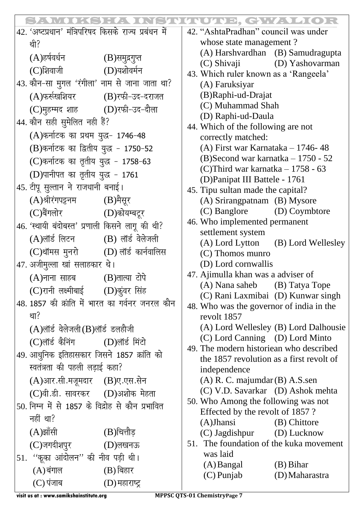|                                                      | <b>INUINE, GWINDIOR</b>                                             |
|------------------------------------------------------|---------------------------------------------------------------------|
| 42. 'अष्टप्रधान' मंत्रिपरिषद किसके राज्य प्रबंधन में | 42. "AshtaPradhan" council was under                                |
| थी?                                                  | whose state management?                                             |
| $(A)$ हर्षवर्धन<br>(B)समुद्रगुप्त                    | (A) Harshvardhan (B) Samudragupta                                   |
| (C)शिवाजी (D)यशोवर्मन                                | (C) Shivaji<br>(D) Yashovarman                                      |
| 43. कौन-सा मुगल 'रंगीला' नाम से जाना जाता था?        | 43. Which ruler known as a 'Rangeela'                               |
| (A)फर्रुखशियर (B)रफी-उद-दराजत                        | (A) Faruksiyar<br>(B)Raphi-ud-Drajat                                |
|                                                      | (C) Muhammad Shah                                                   |
| (C)मुहम्मद शाह (D)रफी-उद-दौला                        | (D) Raphi-ud-Daula                                                  |
| 44. कौन सही सुमेलित नही हैं?                         | 44. Which of the following are not                                  |
| (A)कर्नाटक का प्रथम युद्ध- 1746-48                   | correctly matched:                                                  |
| (B)कर्नाटक का द्वितीय युद्ध - 1750-52                | (A) First war Karnataka – 1746-48                                   |
| (C)कर्नाटक का तृतीय युद्ध - 1758-63                  | $(B)$ Second war karnatka – 1750 - 52                               |
| (D)पानीपत का तृतीय युद्ध - 1761                      | $(C)$ Third war karnatka – 1758 - 63                                |
| 45. टीपू सुल्तान ने राजधानी बनाई।                    | (D) Panipat III Battele - 1761<br>45. Tipu sultan made the capital? |
| (A)श्रीरंगपट्टनम<br>$(B)$ मैसूर                      | (A) Srirangpatnam (B) Mysore                                        |
| (C)बैंगलोर (D)कोयम्बटूर                              | (C) Banglore (D) Coymbtore                                          |
| 46. 'स्थायी बंदोबस्त' प्रणाली किसने लागू की थी?      | 46. Who implemented permanent                                       |
| $(A)$ लॉर्ड लिटन $(B)$ लॉर्ड वेलेजली                 | settlement system                                                   |
|                                                      | (A) Lord Lytton (B) Lord Wellesley                                  |
| (C)थॉमस मुनरो (D) लॉर्ड कार्नवालिस                   | (C) Thomos munro                                                    |
| 47. अजीमुल्ला खां सलाहकार थे।                        | (D) Lord cornwallis<br>47. Ajimulla khan was a adviser of           |
| $(B)$ तात्या टोपे<br>$(A)$ नाना साहब                 | (A) Nana saheb (B) Tatya Tope                                       |
| (C)रानी लक्ष्मीबाई (D)कुंवर सिंह                     | (C) Rani Laxmibai (D) Kunwar singh                                  |
| 48.1857 की क्रांति में भारत का गर्वनर जनरल कौन       | 48. Who was the governor of india in the                            |
| था?                                                  | revolt 1857                                                         |
| $(A)$ लॉर्ड वेलेजली $(B)$ लॉर्ड डलहौजी               | (A) Lord Wellesley (B) Lord Dalhousie                               |
| $(C)$ लॉर्ड कैनिंग $(D)$ लॉर्ड मिंटो                 | (C) Lord Canning (D) Lord Minto                                     |
| 49. आधुनिक इतिहासकार जिसने 1857 क्रांति को           | 49. The modern historiean who described                             |
| स्वतंत्रता की पहली लड़ाई कहा?                        | the 1857 revolution as a first revolt of<br>independence            |
| (A)आर.सी.मजूमदार (B)ए.एस.सेन                         | $(A)$ R. C. majumdar $(B)$ A.S.sen                                  |
| (C)वी.डी. सावरकर (D)अशोक मेहता                       | (C) V.D. Savarkar (D) Ashok mehta                                   |
| 50. निम्न में से 1857 के विद्रोह से कौन प्रभावित     | 50. Who Among the following was not                                 |
| नहीं था?                                             | Effected by the revolt of 1857?                                     |
|                                                      | $(A)$ Jhansi<br>(B) Chittore                                        |
| $(A)$ झाँसी $(B)$ चित्तौड़                           | (C) Jagdishpur (D) Lucknow                                          |
| $(C)$ जगदीशपुर $(D)$ लखनऊ                            | 51. The foundation of the kuka movement<br>was laid                 |
| 51. "कूका आंदोलन" की नीव पड़ी थी।                    | $(B)$ Bihar<br>$(A)$ Bangal                                         |
| $(A)$ बंगाल<br>$(B)$ बिहार                           | (C) Punjab<br>(D) Maharastra                                        |
| $(C)$ पंजाब<br>(D) महाराष्ट्र                        |                                                                     |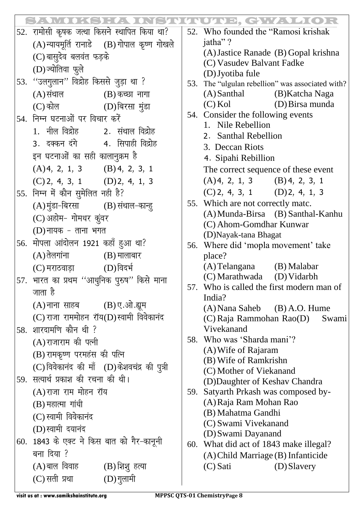|     |                                                  |     | UINE, GWINDIOR                                                           |
|-----|--------------------------------------------------|-----|--------------------------------------------------------------------------|
| 52. | रामोसी कृषक जत्था किसने स्थापित किया था?         |     | 52. Who founded the "Ramosi krishak"                                     |
|     | (A)न्यायमूर्ति रानाडे (B)गोपाल कृष्ण गोखले       |     | jatha"?                                                                  |
|     | (C) बासुदेव बलवंत फड़के                          |     | (A) Jastice Ranade (B) Gopal krishna                                     |
|     | (D) ज्योतिवा फूले                                |     | (C) Vasudev Balvant Fadke<br>(D) Jyotiba fule                            |
| 53. | ''उलगुलान'' विद्रोह किससे जुड़ा था ?             | 53. | The "ulgulan rebellion" was associated with?                             |
|     | $(A)$ संथाल $(B)$ कच्छा नागा                     |     | (A) Santhal (B) Katcha Naga                                              |
|     | (C) कोल                         (D) बिरसा  मुंडा |     | (C) Kol (D) Birsa munda                                                  |
|     | 54. निम्न घटनाओं पर विचार करें                   |     | 54. Consider the following events                                        |
|     | 1. नील विद्रोह 2. संथाल विद्रोह                  |     | 1. Nile Rebellion                                                        |
|     | 3. दक्कन दंगे         4. सिपाही विद्रोह          |     | 2. Santhal Rebellion                                                     |
|     | इन घटनाओं का सही कालानुक्रम है                   |     | 3. Deccan Riots                                                          |
|     | $(A)$ 4, 2, 1, 3 $(B)$ 4, 2, 3, 1                |     | 4. Sipahi Rebillion                                                      |
|     | $(C)$ 2, 4, 3, 1 $(D)$ 2, 4, 1, 3                |     | The correct sequence of these event<br>$(A)$ 4, 2, 1, 3 $(B)$ 4, 2, 3, 1 |
|     | 55. निम्न में कौन सुमेलित नही है?                |     | $(C)$ 2, 4, 3, 1 $(D)$ 2, 4, 1, 3                                        |
|     |                                                  | 55. | Which are not correctly matc.                                            |
|     | (A) मुंडा-बिरसा (B) संथाल-कान्हु                 |     | (A) Munda-Birsa (B) Santhal-Kanhu                                        |
|     | (C) अहोम- गोमधर कुंवर                            |     | (C) Ahom-Gomdhar Kunwar                                                  |
|     | $(D)$ नायक - ताना भगत                            |     | (D) Nayak-tana Bhagat                                                    |
| 56. | मोपला आंदोलन 1921 कहाँ हुआ था?                   |     | 56. Where did 'mopla movement' take                                      |
|     | (A) तेलगांना<br>$(B)$ मालाबार                    |     | place?                                                                   |
|     | (C) मराठवाड़ा (D) विदर्भ                         |     | (A) Telangana (B) Malabar<br>(C) Marathwada (D) Vidarbh                  |
|     | 57. भारत का प्रथम ''आधुनिक पुरुष'' किसे माना     | 57. | Who is called the first modern man of                                    |
|     | जाता है                                          |     | India?                                                                   |
|     | $(A)$ नाना साहब $(B)$ ए.ओ.ह्यूम                  |     | $(A)$ Nana Saheb $(B)$ A.O. Hume                                         |
|     | (C) राजा राममोहन रॉय(D) स्वामी विवेकानंद         |     | (C) Raja Rammohan Rao(D)<br>Swami                                        |
|     | 58. शारदामणि कौन थी ?                            |     | Vivekanand                                                               |
|     | (A)राजाराम की पत्नी                              |     | 58. Who was 'Sharda mani'?                                               |
|     | (B) रामकृष्ण परमहंस की पत्नि                     |     | (A) Wife of Rajaram                                                      |
|     | $(C)$ विवेकानंद की माँ $(D)$ केशवचंद्र की पुत्री |     | (B) Wife of Ramkrishn<br>(C) Mother of Viekanand                         |
|     | 59. सत्यार्थ प्रकाश की रचना की थी।               |     | (D) Daughter of Keshav Chandra                                           |
|     | (A) राजा राम मोहन रॉय                            | 59. | Satyarth Prkash was composed by-                                         |
|     | $(B)$ महात्मा गांधी                              |     | (A) Raja Ram Mohan Rao                                                   |
|     | (C) स्वामी विवेकानंद                             |     | (B) Mahatma Gandhi                                                       |
|     | (D) स्वामी दयानंद                                |     | (C) Swami Vivekanand                                                     |
| 60. | 1843 के एक्ट ने किस बात को गैर-कानूनी            |     | (D) Swami Dayanand<br>60. What did act of 1843 make illegal?             |
|     | बना दिया ?                                       |     | (A) Child Marriage (B) Infanticide                                       |
|     | $(B)$ शिशु हत्या<br>(A)बाल विवाह                 |     | $(C)$ Sati<br>(D) Slavery                                                |
|     | (C) सती  प्रथा<br>(D) गुलामी                     |     |                                                                          |
|     |                                                  |     |                                                                          |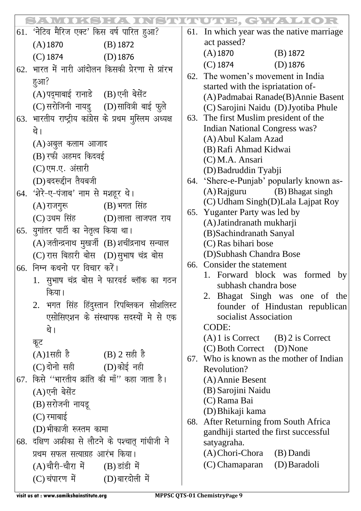|     |                                                        |     | <b>TIE, GWALDOR</b>                                      |
|-----|--------------------------------------------------------|-----|----------------------------------------------------------|
| 61. | 'नेटिव मैरिज एक्ट' किस वर्ष पारित हुआ?                 |     | 61. In which year was the native marriage                |
|     | $(B)$ 1872<br>$(A)$ 1870                               |     | act passed?                                              |
|     | $(C)$ 1874<br>$(D)$ 1876                               |     | $(A)$ 1870<br>$(B)$ 1872                                 |
|     | 62. भारत में नारी आंदोलन किसकी प्रेरणा से प्रांरभ      |     | $(C)$ 1874<br>$(D)$ 1876                                 |
|     | हुआ?                                                   |     | 62. The women's movement in India                        |
|     | (A) पद्माबाई रानाडे (B) एनी बेसेंट                     |     | started with the ispriatation of-                        |
|     |                                                        |     | (A) Padmabai Ranade(B) Annie Basent                      |
|     | (C) सरोजिनी नायड़ (D) सावित्री बाई फुले                |     | (C) Sarojini Naidu (D) Jyotiba Phule                     |
|     | 63. भारतीय राष्ट्रीय कांग्रेस के प्रथम मुस्लिम अध्यक्ष | 63. | The first Muslim president of the                        |
|     | थे ।                                                   |     | Indian National Congress was?                            |
|     | (A)अबुल कलाम आजाद                                      |     | (A) Abul Kalam Azad                                      |
|     | (B) रफी अहमद किदवई                                     |     | (B) Rafi Ahmad Kidwai<br>(C) M.A. Ansari                 |
|     | (C) एम.ए. अंसारी                                       |     | (D) Badruddin Tyabji                                     |
|     | (D)बदरूद्दीन तैयबजी                                    | 64. | 'Shere-e-Punjab' popularly known as-                     |
|     | 64. 'शेरे-ए-पंजाब' नाम से मशहूर थे।                    |     | (A) Rajguru<br>(B) Bhagat singh                          |
|     |                                                        |     | (C) Udham Singh(D)Lala Lajpat Roy                        |
|     | (B) भगत सिंह<br>(A) राजगुरू                            | 65. | <b>Yuganter Party was led by</b>                         |
|     | (C) उधम सिंह (D) लाला लाजपत राय                        |     | (A) Jatindranath mukharji                                |
| 65. | युगांतर पार्टी का नेतृत्व किया था।                     |     | (B)Sachindranath Sanyal                                  |
|     | (A)जतीन्द्रनाथ मुखर्जी (B)शर्चींद्रनाथ सन्याल          |     | (C) Ras bihari bose                                      |
|     | (C) रास बिहारी बोस (D) सुभाष चंद्र बोस                 |     | (D)Subhash Chandra Bose                                  |
| 66. | निम्न कथनो पर विचार करें।                              | 66. | Consider the statement                                   |
|     | 1. सुभाष चंद्र बोस ने फारवर्ड ब्लॉक का गठन             |     | Forward block was formed by                              |
|     | किया।                                                  |     | subhash chandra bose                                     |
|     | 2. भगत सिंह हिंदुस्तान रिपब्लिकन सोशलिस्ट              |     | 2. Bhagat Singh was one of the                           |
|     | एसोसिएशन के संस्थापक सदस्यों मे से एक                  |     | founder of Hindustan republican<br>socialist Association |
|     |                                                        |     | CODE:                                                    |
|     | थे ।                                                   |     | $(A) 1$ is Correct $(B) 2$ is Correct                    |
|     | कूट                                                    |     | (C) Both Correct (D) None                                |
|     | $(A)$ 1सही है (B) 2 सही है                             | 67. | Who is known as the mother of Indian                     |
|     | $(C)$ दोनो सही $(D)$ कोई नही                           |     | Revolution?                                              |
| 67. | किसे ''भारतीय क्रांति की माँ'' कहा जाता है।            |     | (A) Annie Besent                                         |
|     | (A)एनी बेसेंट                                          |     | (B) Sarojini Naidu                                       |
|     | (B) सरोजनी नायडू                                       |     | (C) Rama Bai                                             |
|     | $(C)$ रमाबाई                                           |     | (D) Bhikaji kama                                         |
|     | (D) भीकाजी रूस्तम कामा                                 | 68. | After Returning from South Africa                        |
|     |                                                        |     | gandhiji started the first successful                    |
|     | 68. दक्षिण अफ्रीका से लौटने के पश्चात् गांधीजी ने      |     | satyagraha.                                              |
|     | प्रथम सफल सत्याग्रह आरंभ किया।                         |     | (A) Chori-Chora (B) Dandi                                |
|     | (A)चौरी-चौरा में (B)डांडी में                          |     | (D) Baradoli<br>(C) Chamaparan                           |
|     | (C) चंपारण में (D) बारदोली में                         |     |                                                          |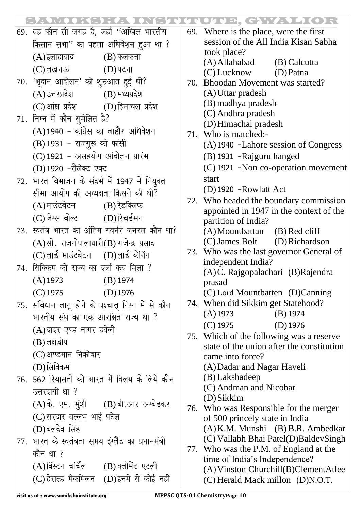|     |                                                                    |     | 103, GWADOR                                                           |
|-----|--------------------------------------------------------------------|-----|-----------------------------------------------------------------------|
|     | $\left 69\right $ वह कौन-सी जगह है, जहाँ ''अखिल भारतीय             | 69. | Where is the place, were the first                                    |
|     | किसान सभा" का पहला अधिवेशन हुआ था ?                                |     | session of the All India Kisan Sabha                                  |
|     | $(B)$ कलकत्ता<br>(A) इलाहाबाद                                      |     | took place?                                                           |
|     | (C) लखनऊ<br>$(D)$ पटना                                             |     | (A) Allahabad (B) Calcutta<br>(C) Lucknow (D) Patna                   |
| 70. | 'भूदान आदोलन' की शुरुआत हुई थी?                                    |     | 70. Bhoodan Movement was started?                                     |
|     | (A) उत्तरप्रदेश (B) मध्यप्रदेश                                     |     | (A) Uttar pradesh                                                     |
|     | (C) आंध्र प्रदेश (D) हिमाचल प्रदेश                                 |     | (B) madhya pradesh                                                    |
|     | $\left  71. \right.$ निम्न में कौन सुमेलित है?                     |     | (C) Andhra pradesh                                                    |
|     | (A) 1940 - कांग्रेस का लाहौर अधिवेशन                               |     | (D) Himachal pradesh                                                  |
|     |                                                                    |     | 71. Who is matched:-                                                  |
|     | (B) 1931 - राजगुरू को फांसी                                        |     | (A) 1940 -Lahore session of Congress                                  |
|     | (C) 1921 - असहयोग आंदोलन प्रारंभ                                   |     | (B) 1931 - Rajguru hanged                                             |
|     | (D)1920 -रौलेक्ट एक्ट                                              |     | (C) 1921 -Non co-operation movement                                   |
|     | 72. भारत विभाजन के संदर्भ में 1947 में नियुक्त                     |     | start<br>$(D)$ 1920 - Rowlatt Act                                     |
|     | सीमा आयोग की अध्यक्षता किसने की थी?                                |     | 72. Who headed the boundary commission                                |
|     | (A)माउंटबेटन<br>(B) रेडक्लिफ                                       |     | appointed in 1947 in the context of the                               |
|     | (C) जेम्स बोल्ट (D) रिचर्डसन                                       |     | partition of India?                                                   |
|     | 73. स्वतंत्र भारत का अंतिम गवर्नर जनरल कौन था?                     |     | $(A)$ Mountbattan $(B)$ Red cliff                                     |
|     | (A)सी. राजगोपालाधारी(B) राजेन्द्र प्रसाद                           |     | (C) James Bolt (D) Richardson                                         |
|     | (C) लार्ड माउंटबेटन (D) लार्ड केनिंग                               | 73. | Who was the last governor General of                                  |
| 74. | सिक्किम को राज्य का दर्जा कब मिला ?                                |     | independent India?                                                    |
|     | $(A)$ 1973<br>$(B)$ 1974                                           |     | (A) C. Rajgopalachari (B) Rajendra<br>prasad                          |
|     | $(C)$ 1975 $(D)$ 1976                                              |     | (C) Lord Mountbatten (D)Canning                                       |
|     | $\left  75. \right.$ संविधान लागू होने के पश्चात् निम्न में से कौन | 74. | When did Sikkim get Statehood?                                        |
|     | भारतीय संघ का एक आरक्षित राज्य था ?                                |     | $(A)$ 1973<br>$(B)$ 1974                                              |
|     | (A)दादर एण्ड नागर हवेली                                            |     | $(C)$ 1975<br>$(D)$ 1976                                              |
|     |                                                                    | 75. | Which of the following was a reserve                                  |
|     | (B) लक्षद्वीप                                                      |     | state of the union after the constitution                             |
|     | (C)अण्डमान निकोबार                                                 |     | came into force?                                                      |
|     | (D) सिक्किम                                                        |     | (A) Dadar and Nagar Haveli                                            |
|     | 76. 562 रियासतो को भारत में विलय के लिये कौन                       |     | (B) Lakshadeep<br>(C) Andman and Nicobar                              |
|     | उत्तरदायी था ?                                                     |     | (D) Sikkim                                                            |
|     | (A)के. एम. मुंशी      (B) बी.आर अम्बेडकर                           |     | 76. Who was Responsible for the merger                                |
|     | (C)सरदार वल्लभ भाई पटेल                                            |     | of 500 princely state in India                                        |
|     | (D)बलदेव सिंह                                                      |     | (A) K.M. Munshi (B) B.R. Ambedkar                                     |
| 77. | भारत के स्वतंत्रता समय इंग्लैंड का प्रधानमंत्री                    |     | (C) Vallabh Bhai Patel(D)BaldevSingh                                  |
|     | कौन था ?                                                           | 77. | Who was the P.M. of England at the                                    |
|     | (A)विंस्टन चर्चिल (B)क्लीमेंट एटली                                 |     | time of India's Independence?<br>(A) Vinston Churchill(B)ClementAtlee |
|     | (C) हेराल्ड मैकमिलन (D)इनमें से कोई नहीं                           |     | (C) Herald Mack millon (D)N.O.T.                                      |
|     |                                                                    |     |                                                                       |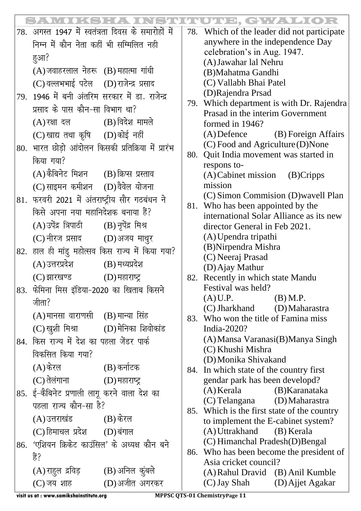|     |                                                 |                                                     |     |                                                                         | <u>040 D, GYWA D (0) R</u>                |
|-----|-------------------------------------------------|-----------------------------------------------------|-----|-------------------------------------------------------------------------|-------------------------------------------|
|     |                                                 | 78. अगस्त 1947 में स्वतंत्रता दिवस के समारोहों में  | 78. |                                                                         | Which of the leader did not participate   |
|     | निम्न में कौन नेता कहीं भी सम्मिलित नही         |                                                     |     | anywhere in the independence Day                                        |                                           |
|     | हुआ?                                            |                                                     |     | celebration's in Aug. 1947.                                             |                                           |
|     | (A) जवाहरलाल नेहरू (B) महात्मा गांधी            |                                                     |     | (A) Jawahar lal Nehru<br>(B) Mahatma Gandhi                             |                                           |
|     | (C) वल्लभभाई पटेल (D) राजेन्द्र प्रसाद          |                                                     |     | (C) Vallabh Bhai Patel                                                  |                                           |
|     |                                                 |                                                     |     | (D)Rajendra Prsad                                                       |                                           |
|     | 79. 1946 में बनी अंतरिम सरकार में डा. राजेन्द्र |                                                     |     |                                                                         | 79. Which department is with Dr. Rajendra |
|     | प्रसाद के पास कौन-सा विभाग था?                  |                                                     |     | Prasad in the interim Government                                        |                                           |
|     | (A) रक्षा दल (B) विदेश मामले                    |                                                     |     | formed in 1946?                                                         |                                           |
|     | (C) खाद्य तथा कृषि (D) कोई नहीं                 |                                                     |     |                                                                         | (A) Defence (B) Foreign Affairs           |
| 80. |                                                 | भारत छोड़ो आंदोलन किसकी प्रतिक्रिया में प्रारंभ     |     | (C) Food and Agriculture (D)None                                        |                                           |
|     | किया गया?                                       |                                                     | 80. | Quit India movement was started in<br>respons to-                       |                                           |
|     | (A)कैबिनेट मिशन (B)क्रिप्स प्रस्ताव             |                                                     |     | (A) Cabinet mission (B) Cripps                                          |                                           |
|     | $(C)$ साइमन कमीशन $(D)$ वैवेल योजना             |                                                     |     | mission                                                                 |                                           |
| 81. | फरवरी 2021 में अंतराष्ट्रीय सौर गठबंधन ने       |                                                     |     |                                                                         | (C) Simon Commision (D) wavell Plan       |
|     | किसे अपना नया महानिदेशक बनाया हैं?              |                                                     |     | 81. Who has been appointed by the                                       |                                           |
|     |                                                 |                                                     |     |                                                                         | international Solar Alliance as its new   |
|     | (A)उपेंद्र त्रिपाठी      (B)नृपेंद्र मिश्र      |                                                     |     | director General in Feb 2021.                                           |                                           |
|     | (C) नीरज प्रसाद         (D)अजय माथुर            |                                                     |     | (A) Upendra tripathi<br>(B) Nirpendra Mishra                            |                                           |
|     |                                                 | $ 82.$ हाल ही मांडु महोत्सव किस राज्य में किया गया? |     | (C) Neeraj Prasad                                                       |                                           |
|     | (A)उत्तरप्रदेश                                  | (B) मध्यप्रदेश                                      |     | (D) Ajay Mathur                                                         |                                           |
|     | (C) झारखण्ड (D) महाराष्ट्र                      |                                                     | 82. | Recently in which state Mandu                                           |                                           |
|     | 83. फेमिना मिस इंडिया-2020 का खिताब किसने       |                                                     |     | Festival was held?                                                      |                                           |
|     | जीता?                                           |                                                     |     | $(A)$ U.P.                                                              | $(B)$ M.P.                                |
|     | (A)मानसा वाराणसी ) (B)मान्या सिंह               |                                                     |     | (C) Jharkhand (D) Maharastra<br>83. Who won the title of Famina miss    |                                           |
|     | (C) खुशी मिश्रा (D) मेनिका शिवोकांड             |                                                     |     | India-2020?                                                             |                                           |
|     | 84. किस राज्य में देश का पहला जेंडर पार्क       |                                                     |     |                                                                         | (A) Mansa Varanasi(B) Manya Singh         |
|     | विकसित किया गया?                                |                                                     |     | (C) Khushi Mishra                                                       |                                           |
|     |                                                 |                                                     |     | (D) Monika Shivakand                                                    |                                           |
|     | $(A)$ केरल $(B)$ कर्नाटक                        |                                                     |     | 84. In which state of the country first                                 |                                           |
|     | (C) तेलंगाना                    (D) महाराष्ट्र  |                                                     |     | gendar park has been developd?                                          |                                           |
|     | 85. ई-कैबिनेट प्रणाली लागू करने वाला देश का     |                                                     |     | (A) Kerala                                                              | (B)Karanataka                             |
|     | पहला राज्य कौन-सा है?                           |                                                     | 85. | (C) Telangana (D) Maharastra<br>Which is the first state of the country |                                           |
|     | $(A)$ उत्तराखंड $(B)$ केरल                      |                                                     |     | to implement the E-cabinet system?                                      |                                           |
|     | (C) हिमाचल प्रदेश (D) बंगाल                     |                                                     |     | (A) Uttrakhand (B) Kerala                                               |                                           |
| 86. |                                                 | 'एशियन क्रिकेट काउंसिल' के अध्यक्ष कौन बने          |     | (C) Himanchal Pradesh(D)Bengal                                          |                                           |
|     | हैं?                                            |                                                     | 86. |                                                                         | Who has been become the president of      |
|     | (A) राहुल द्रविड़ (B) अनिल कुंबले               |                                                     |     | Asia cricket council?                                                   |                                           |
|     |                                                 |                                                     |     | (A) Rahul Dravid (B) Anil Kumble<br>(C) Jay Shah (D) Ajjet Agakar       |                                           |
|     | (C) जय शाह                                      | (D)अजीत अगरकर                                       |     |                                                                         |                                           |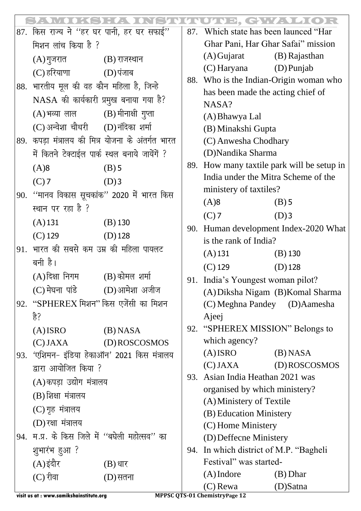|     |                                           |                                                   |     |                                                           | <b>INUINE, GWINDIOR</b>                |
|-----|-------------------------------------------|---------------------------------------------------|-----|-----------------------------------------------------------|----------------------------------------|
|     |                                           | 87. किस राज्य ने ''हर घर पानी, हर घर सफाई''       | 87. | Which state has been launced "Har                         |                                        |
|     | मिशन लांच किया है ?                       |                                                   |     |                                                           | Ghar Pani, Har Ghar Safai" mission     |
|     | (A)गुजरात                                 | $(B)$ राजस्थान                                    |     | $(A)$ Gujarat                                             | (B) Rajasthan                          |
|     | (C) हरियाणा                               | $(D)$ पंजाब                                       |     | (C) Haryana                                               | (D) Punjab                             |
|     | 88. भारतीय मूल की वह कौन महिला है, जिन्हे |                                                   | 88. |                                                           | Who is the Indian-Origin woman who     |
|     | NASA की कार्यकारी प्रमुख बनाया गया है?    |                                                   |     | has been made the acting chief of                         |                                        |
|     | $(A)$ भव्या लाल $(B)$ मीनाक्षी गुप्ता     |                                                   |     | NASA?                                                     |                                        |
|     | (C) अन्वेशा चौधरी (D) नंदिका शर्मा        |                                                   |     | (A) Bhawya Lal                                            |                                        |
|     |                                           | 89. कपड़ा मंत्रालय की मित्र योजना के अंतर्गत भारत |     | (B) Minakshi Gupta<br>(C) Anwesha Chodhary                |                                        |
|     |                                           | में कितने टेक्टाईल पार्क स्थल बनाये जायेंगें ?    |     | (D) Nandika Sharma                                        |                                        |
|     |                                           |                                                   | 89. |                                                           | How many taxtile park will be setup in |
|     | (A)8                                      | $(B)$ 5                                           |     |                                                           | India under the Mitra Scheme of the    |
|     | $(C)$ 7                                   | (D)3                                              |     | ministery of taxtiles?                                    |                                        |
| 90. |                                           | ''मानव विकास सूचकांक'' 2020 में भारत किस          |     | (A)8                                                      | $(B)$ 5                                |
|     | स्थान पर रहा है ?                         |                                                   |     | $(C)$ 7                                                   | (D)3                                   |
|     | $(A)$ 131                                 | $(B)$ 130                                         |     |                                                           | 90. Human development Index-2020 What  |
|     | $(C)$ 129                                 | $(D)$ 128                                         |     | is the rank of India?                                     |                                        |
| 91. | भारत की सबसे कम उम्र की महिला पायलट       |                                                   |     | $(A)$ 131                                                 | $(B)$ 130                              |
|     | बनी है।                                   |                                                   |     | $(C)$ 129                                                 | $(D)$ 128                              |
|     | $(A)$ दिक्षा निगम $(B)$ कोमल शर्मा        |                                                   |     | 91. India's Youngest woman pilot?                         |                                        |
|     | (C) मेघना पांडे (D) आमेशा अजीज            |                                                   |     |                                                           | (A) Diksha Nigam (B) Komal Sharma      |
|     |                                           | 92. "SPHEREX मिशन" किस एजेंसी का मिशन             |     |                                                           | (C) Meghna Pandey (D) Aamesha          |
|     | है?                                       |                                                   |     | Ajeej                                                     |                                        |
|     | $(A)$ ISRO                                | $(B)$ NASA                                        |     | 92. "SPHEREX MISSION" Belongs to                          |                                        |
|     | (C) JAXA                                  | (D) ROSCOSMOS                                     |     | which agency?                                             |                                        |
| 93. |                                           | 'एशिमन- इंडिया हेकाऑन' 2021 किस मंत्रालय          |     | $(A)$ ISRO                                                | $(B)$ NASA                             |
|     | द्वारा आयोजित किया ?                      |                                                   |     | (C) JAXA                                                  | (D) ROSCOSMOS                          |
|     | (A)कपड़ा उद्योग मंत्रालय                  |                                                   | 93. | Asian India Heathan 2021 was                              |                                        |
|     | (B) शिक्षा मंत्रालय                       |                                                   |     | organised by which ministery?<br>(A) Ministery of Textile |                                        |
|     | (C) गृह मंत्रालय                          |                                                   |     | (B) Education Ministery                                   |                                        |
|     | (D) रक्षा मंत्रालय                        |                                                   |     | (C) Home Ministery                                        |                                        |
| 94. |                                           | म.प्र. के किस जिले में "बघेली महोत्सव" का         |     | (D) Deffecne Ministery                                    |                                        |
|     | शुभारंभ हुआ ?                             |                                                   |     | 94. In which district of M.P. "Bagheli"                   |                                        |
|     | (A)इंदौर                                  | $(B)$ धार                                         |     | Festival" was started-                                    |                                        |
|     | (C) रीवा                                  | $(D)$ सतना                                        |     | $(A)$ Indore                                              | $(B)$ Dhar                             |
|     |                                           |                                                   |     | (C) Rewa                                                  | (D)Satna                               |